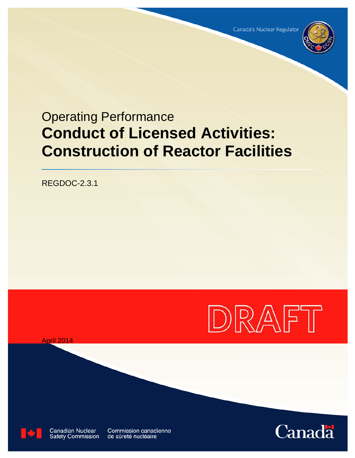

# Operating Performance **Conduct of Licensed Activities: Construction of Reactor Facilities**

REGDOC-2.3.1



April 2014



**Canadian Nuclear Safety Commission** 

Commission canadienne de sûreté nucléaire

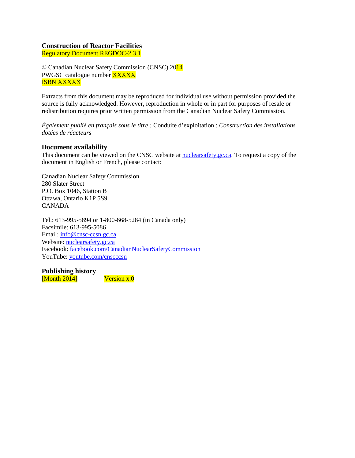## **Construction of Reactor Facilities**

Regulatory Document REGDOC-2.3.1

© Canadian Nuclear Safety Commission (CNSC) 2014 PWGSC catalogue number **XXXXX** ISBN XXXXX

Extracts from this document may be reproduced for individual use without permission provided the source is fully acknowledged. However, reproduction in whole or in part for purposes of resale or redistribution requires prior written permission from the Canadian Nuclear Safety Commission.

*Également publié en français sous le titre :* Conduite d'exploitation : *Construction des installations dotées de réacteurs*

## **Document availability**

This document can be viewed on the CNSC website at **nuclearsafety** gc.ca. To request a copy of the document in English or French, please contact:

Canadian Nuclear Safety Commission 280 Slater Street P.O. Box 1046, Station B Ottawa, Ontario K1P 5S9 CANADA

Tel.: 613-995-5894 or 1-800-668-5284 (in Canada only) Facsimile: 613-995-5086 Email: [info@cnsc-ccsn.gc.ca](mailto:info@cnsc-ccsn.gc.ca) Website: [nuclearsafety.gc.ca](http://www.nuclearsafety.gc.ca/) Facebook: [facebook.com/CanadianNuclearSafetyCommission](http://www.facebook.com/CanadianNuclearSafetyCommission) YouTube: [youtube.com/cnscccsn](http://www.youtube.com/cnscccsn)

**Publishing history**

[Month 2014] Version x.0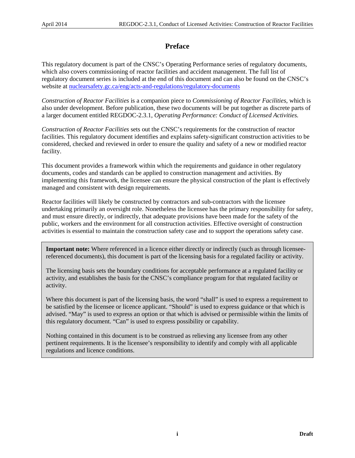# **Preface**

This regulatory document is part of the CNSC's Operating Performance series of regulatory documents, which also covers commissioning of reactor facilities and accident management. The full list of regulatory document series is included at the end of this document and can also be found on the CNSC's website at [nuclearsafety.gc.ca/eng/acts-and-regulations/regulatory-documents](http://www.nuclearsafety.gc.ca/eng/acts-and-regulations/regulatory-documents/index.cfm)

*Construction of Reactor Facilities* is a companion piece to *Commissioning of Reactor Facilities*, which is also under development. Before publication, these two documents will be put together as discrete parts of a larger document entitled REGDOC-2.3.1, *Operating Performance: Conduct of Licensed Activities.*

*Construction of Reactor Facilities* sets out the CNSC's requirements for the construction of reactor facilities. This regulatory document identifies and explains safety-significant construction activities to be considered, checked and reviewed in order to ensure the quality and safety of a new or modified reactor facility.

This document provides a framework within which the requirements and guidance in other regulatory documents, codes and standards can be applied to construction management and activities. By implementing this framework, the licensee can ensure the physical construction of the plant is effectively managed and consistent with design requirements.

Reactor facilities will likely be constructed by contractors and sub-contractors with the licensee undertaking primarily an oversight role. Nonetheless the licensee has the primary responsibility for safety, and must ensure directly, or indirectly, that adequate provisions have been made for the safety of the public, workers and the environment for all construction activities. Effective oversight of construction activities is essential to maintain the construction safety case and to support the operations safety case.

**Important note:** Where referenced in a licence either directly or indirectly (such as through licenseereferenced documents), this document is part of the licensing basis for a regulated facility or activity.

The licensing basis sets the boundary conditions for acceptable performance at a regulated facility or activity, and establishes the basis for the CNSC's compliance program for that regulated facility or activity.

Where this document is part of the licensing basis, the word "shall" is used to express a requirement to be satisfied by the licensee or licence applicant. "Should" is used to express guidance or that which is advised. "May" is used to express an option or that which is advised or permissible within the limits of this regulatory document. "Can" is used to express possibility or capability.

Nothing contained in this document is to be construed as relieving any licensee from any other pertinent requirements. It is the licensee's responsibility to identify and comply with all applicable regulations and licence conditions.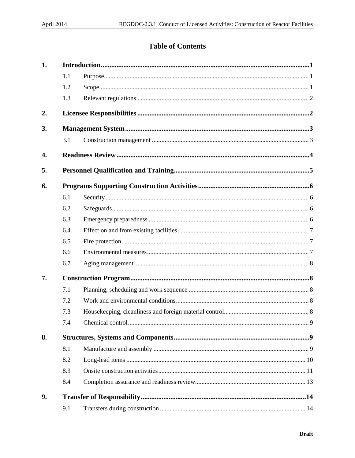# **Table of Contents**

| 1. |     |  |  |  |  |
|----|-----|--|--|--|--|
|    | 1.1 |  |  |  |  |
|    | 1.2 |  |  |  |  |
|    | 1.3 |  |  |  |  |
| 2. |     |  |  |  |  |
| 3. |     |  |  |  |  |
|    | 3.1 |  |  |  |  |
| 4. |     |  |  |  |  |
| 5. |     |  |  |  |  |
| 6. |     |  |  |  |  |
|    | 6.1 |  |  |  |  |
|    | 6.2 |  |  |  |  |
|    | 6.3 |  |  |  |  |
|    | 6.4 |  |  |  |  |
|    | 6.5 |  |  |  |  |
|    | 6.6 |  |  |  |  |
|    | 6.7 |  |  |  |  |
| 7. |     |  |  |  |  |
|    | 7.1 |  |  |  |  |
|    | 7.2 |  |  |  |  |
|    | 7.3 |  |  |  |  |
|    | 7.4 |  |  |  |  |
| 8. |     |  |  |  |  |
|    | 8.1 |  |  |  |  |
|    | 8.2 |  |  |  |  |
|    | 8.3 |  |  |  |  |
|    | 8.4 |  |  |  |  |
| 9. |     |  |  |  |  |
|    | 9.1 |  |  |  |  |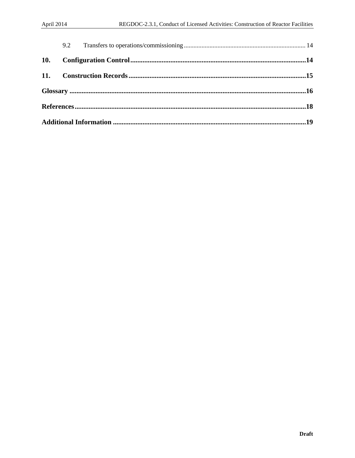| 10. |  |  |  |  |
|-----|--|--|--|--|
|     |  |  |  |  |
|     |  |  |  |  |
|     |  |  |  |  |
|     |  |  |  |  |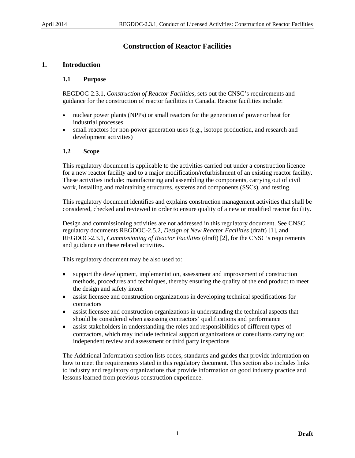# **Construction of Reactor Facilities**

## <span id="page-6-1"></span><span id="page-6-0"></span>**1. Introduction**

## **1.1 Purpose**

REGDOC-2.3.1, *Construction of Reactor Facilities*, sets out the CNSC's requirements and guidance for the construction of reactor facilities in Canada. Reactor facilities include:

- nuclear power plants (NPPs) or small reactors for the generation of power or heat for industrial processes
- small reactors for non-power generation uses (e.g., isotope production, and research and development activities)

## <span id="page-6-2"></span>**1.2 Scope**

This regulatory document is applicable to the activities carried out under a construction licence for a new reactor facility and to a major modification/refurbishment of an existing reactor facility. These activities include: manufacturing and assembling the components, carrying out of civil work, installing and maintaining structures, systems and components (SSCs), and testing.

This regulatory document identifies and explains construction management activities that shall be considered, checked and reviewed in order to ensure quality of a new or modified reactor facility.

Design and commissioning activities are not addressed in this regulatory document. See CNSC regulatory documents REGDOC-2.5.2, *Design of New Reactor Facilities* (draft) [1], and REGDOC-2.3.1, *Commissioning of Reactor Facilities* (draft) [2], for the CNSC's requirements and guidance on these related activities.

This regulatory document may be also used to:

- support the development, implementation, assessment and improvement of construction methods, procedures and techniques, thereby ensuring the quality of the end product to meet the design and safety intent
- assist licensee and construction organizations in developing technical specifications for contractors
- assist licensee and construction organizations in understanding the technical aspects that should be considered when assessing contractors' qualifications and performance
- assist stakeholders in understanding the roles and responsibilities of different types of contractors, which may include technical support organizations or consultants carrying out independent review and assessment or third party inspections

The Additional Information section lists codes, standards and guides that provide information on how to meet the requirements stated in this regulatory document. This section also includes links to industry and regulatory organizations that provide information on good industry practice and lessons learned from previous construction experience.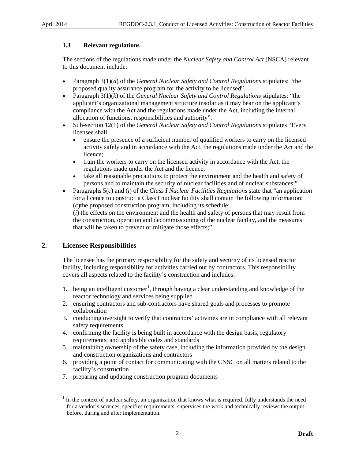## <span id="page-7-0"></span>**1.3 Relevant regulations**

The sections of the regulations made under the *Nuclear Safety and Control Act* (NSCA) relevant to this document include:

- Paragraph 3(1)(*d*) of the *General Nuclear Safety and Control Regulations* stipulates: "the proposed quality assurance program for the activity to be licensed".
- Paragraph 3(1)(*k*) of the *General Nuclear Safety and Control Regulations* stipulates: "the applicant's organizational management structure insofar as it may bear on the applicant's compliance with the Act and the regulations made under the Act, including the internal allocation of functions, responsibilities and authority".
- Sub-section 12(1) of the *General Nuclear Safety and Control Regulations* stipulates "Every licensee shall:
	- ensure the presence of a sufficient number of qualified workers to carry on the licensed activity safely and in accordance with the Act, the regulations made under the Act and the licence;
	- train the workers to carry on the licensed activity in accordance with the Act, the regulations made under the Act and the licence;
	- take all reasonable precautions to protect the environment and the health and safety of persons and to maintain the security of nuclear facilities and of nuclear substances;"
- Paragraphs 5(*c*) and (*i*) of the *Class I Nuclear Facilities Regulations* state that "an application for a licence to construct a Class I nuclear facility shall contain the following information: (*c*)the proposed construction program, including its schedule; (*i*) the effects on the environment and the health and safety of persons that may result from the construction, operation and decommissioning of the nuclear facility, and the measures that will be taken to prevent or mitigate those effects;"

## <span id="page-7-1"></span>**2. Licensee Responsibilities**

 $\ddot{\phantom{a}}$ 

The licensee has the primary responsibility for the safety and security of its licensed reactor facility, including responsibility for activities carried out by contractors. This responsibility covers all aspects related to the facility's construction and includes:

- [1](#page-7-2). being an intelligent customer<sup>1</sup>, through having a clear understanding and knowledge of the reactor technology and services being supplied
- 2. ensuring contractors and sub-contractors have shared goals and processes to promote collaboration
- 3. conducting oversight to verify that contractors' activities are in compliance with all relevant safety requirements
- 4. confirming the facility is being built in accordance with the design basis, regulatory requirements, and applicable codes and standards
- 5. maintaining ownership of the safety case, including the information provided by the design and construction organizations and contractors
- 6. providing a point of contact for communicating with the CNSC on all matters related to the facility's construction
- 7. preparing and updating construction program documents

<span id="page-7-2"></span> $<sup>1</sup>$  In the context of nuclear safety, an organization that knows what is required, fully understands the need</sup> for a vendor's services, specifies requirements, supervises the work and technically reviews the output before, during and after implementation.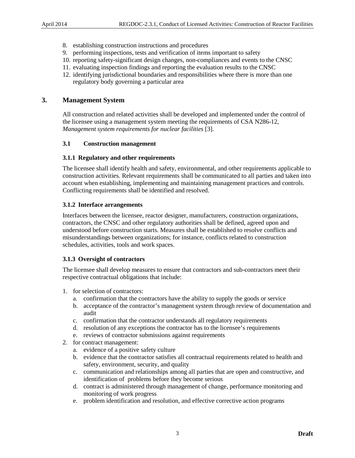- 8. establishing construction instructions and procedures
- 9. performing inspections, tests and verification of items important to safety
- 10. reporting safety-significant design changes, non-compliances and events to the CNSC
- 11. evaluating inspection findings and reporting the evaluation results to the CNSC
- 12. identifying jurisdictional boundaries and responsibilities where there is more than one regulatory body governing a particular area

## <span id="page-8-0"></span>**3. Management System**

All construction and related activities shall be developed and implemented under the control of the licensee using a management system meeting the requirements of CSA N286-12, *Management system requirements for nuclear facilities* [3].

## <span id="page-8-1"></span>**3.1 Construction management**

#### **3.1.1 Regulatory and other requirements**

The licensee shall identify health and safety, environmental, and other requirements applicable to construction activities. Relevant requirements shall be communicated to all parties and taken into account when establishing, implementing and maintaining management practices and controls. Conflicting requirements shall be identified and resolved.

## **3.1.2 Interface arrangements**

Interfaces between the licensee, reactor designer, manufacturers, construction organizations, contractors, the CNSC and other regulatory authorities shall be defined, agreed upon and understood before construction starts. Measures shall be established to resolve conflicts and misunderstandings between organizations; for instance, conflicts related to construction schedules, activities, tools and work spaces.

#### **3.1.3 Oversight of contractors**

The licensee shall develop measures to ensure that contractors and sub-contractors meet their respective contractual obligations that include:

- 1. for selection of contractors:
	- a. confirmation that the contractors have the ability to supply the goods or service
	- b. acceptance of the contractor's management system through review of documentation and audit
	- c. confirmation that the contractor understands all regulatory requirements
	- d. resolution of any exceptions the contractor has to the licensee's requirements
	- e. reviews of contractor submissions against requirements
- 2. for contract management:
	- a. evidence of a positive safety culture
	- b. evidence that the contractor satisfies all contractual requirements related to health and safety, environment, security, and quality
	- c. communication and relationships among all parties that are open and constructive, and identification of problems before they become serious
	- d. contract is administered through management of change, performance monitoring and monitoring of work progress
	- e. problem identification and resolution, and effective corrective action programs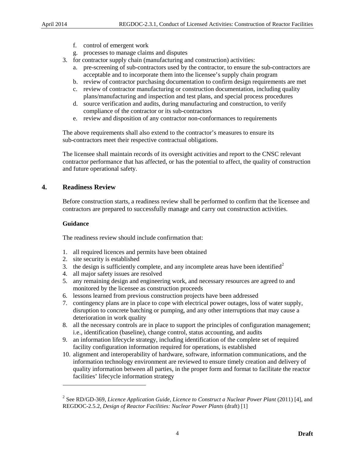- f. control of emergent work
- g. processes to manage claims and disputes
- 3. for contractor supply chain (manufacturing and construction) activities:
	- a. pre-screening of sub-contractors used by the contractor, to ensure the sub-contractors are acceptable and to incorporate them into the licensee's supply chain program
	- b. review of contractor purchasing documentation to confirm design requirements are met
	- c. review of contractor manufacturing or construction documentation, including quality plans/manufacturing and inspection and test plans, and special process procedures
	- d. source verification and audits, during manufacturing and construction, to verify compliance of the contractor or its sub-contractors
	- e. review and disposition of any contractor non-conformances to requirements

The above requirements shall also extend to the contractor's measures to ensure its sub-contractors meet their respective contractual obligations.

The licensee shall maintain records of its oversight activities and report to the CNSC relevant contractor performance that has affected, or has the potential to affect, the quality of construction and future operational safety.

## <span id="page-9-0"></span>**4. Readiness Review**

Before construction starts, a readiness review shall be performed to confirm that the licensee and contractors are prepared to successfully manage and carry out construction activities.

## **Guidance**

 $\overline{a}$ 

The readiness review should include confirmation that:

- 1. all required licences and permits have been obtained
- 2. site security is established
- 3. the design is sufficiently complete, and any incomplete areas have been identified<sup>[2](#page-9-1)</sup>
- 4. all major safety issues are resolved
- 5. any remaining design and engineering work, and necessary resources are agreed to and monitored by the licensee as construction proceeds
- 6. lessons learned from previous construction projects have been addressed
- 7. contingency plans are in place to cope with electrical power outages, loss of water supply, disruption to concrete batching or pumping, and any other interruptions that may cause a deterioration in work quality
- 8. all the necessary controls are in place to support the principles of configuration management; i.e., identification (baseline), change control, status accounting, and audits
- 9. an information lifecycle strategy, including identification of the complete set of required facility configuration information required for operations, is established
- 10. alignment and interoperability of hardware, software, information communications, and the information technology environment are reviewed to ensure timely creation and delivery of quality information between all parties, in the proper form and format to facilitate the reactor facilities' lifecycle information strategy

<span id="page-9-1"></span><sup>2</sup> See RD/GD-369, *Licence Application Guide, Licence to Construct a Nuclear Power Plant* (2011) [4], and REGDOC-2.5.2, *Design of Reactor Facilities: Nuclear Power Plants* (draft) [1]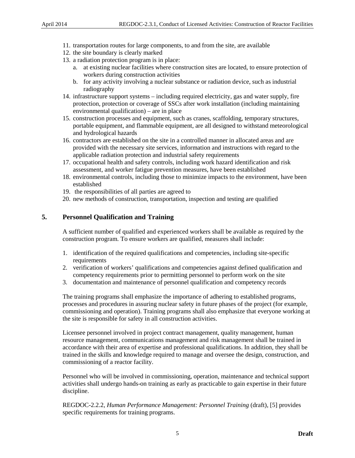- 11. transportation routes for large components, to and from the site, are available
- 12. the site boundary is clearly marked
- 13. a radiation protection program is in place:
	- a. at existing nuclear facilities where construction sites are located, to ensure protection of workers during construction activities
	- b. for any activity involving a nuclear substance or radiation device, such as industrial radiography
- 14. infrastructure support systems including required electricity, gas and water supply, fire protection, protection or coverage of SSCs after work installation (including maintaining environmental qualification) – are in place
- 15. construction processes and equipment, such as cranes, scaffolding, temporary structures, portable equipment, and flammable equipment, are all designed to withstand meteorological and hydrological hazards
- 16. contractors are established on the site in a controlled manner in allocated areas and are provided with the necessary site services, information and instructions with regard to the applicable radiation protection and industrial safety requirements
- 17. occupational health and safety controls, including work hazard identification and risk assessment, and worker fatigue prevention measures, have been established
- 18. environmental controls, including those to minimize impacts to the environment, have been established
- 19. the responsibilities of all parties are agreed to
- 20. new methods of construction, transportation, inspection and testing are qualified

## <span id="page-10-0"></span>**5. Personnel Qualification and Training**

A sufficient number of qualified and experienced workers shall be available as required by the construction program. To ensure workers are qualified, measures shall include:

- 1. identification of the required qualifications and competencies, including site-specific requirements
- 2. verification of workers' qualifications and competencies against defined qualification and competency requirements prior to permitting personnel to perform work on the site
- 3. documentation and maintenance of personnel qualification and competency records

The training programs shall emphasize the importance of adhering to established programs, processes and procedures in assuring nuclear safety in future phases of the project (for example, commissioning and operation). Training programs shall also emphasize that everyone working at the site is responsible for safety in all construction activities.

Licensee personnel involved in project contract management, quality management, human resource management, communications management and risk management shall be trained in accordance with their area of expertise and professional qualifications. In addition, they shall be trained in the skills and knowledge required to manage and oversee the design, construction, and commissioning of a reactor facility.

Personnel who will be involved in commissioning, operation, maintenance and technical support activities shall undergo hands-on training as early as practicable to gain expertise in their future discipline.

REGDOC-2.2.2, *Human Performance Management: Personnel Training* (draft), [5] provides specific requirements for training programs.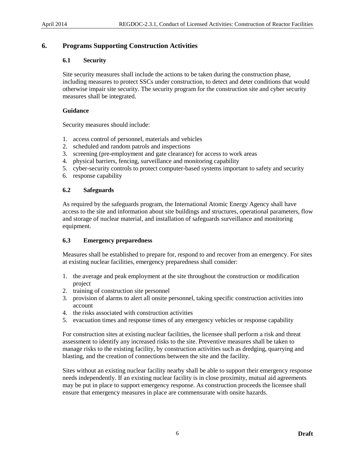## <span id="page-11-1"></span><span id="page-11-0"></span>**6. Programs Supporting Construction Activities**

## **6.1 Security**

Site security measures shall include the actions to be taken during the construction phase, including measures to protect SSCs under construction, to detect and deter conditions that would otherwise impair site security. The security program for the construction site and cyber security measures shall be integrated.

#### **Guidance**

Security measures should include:

- 1. access control of personnel, materials and vehicles
- 2. scheduled and random patrols and inspections
- 3. screening (pre-employment and gate clearance) for access to work areas
- 4. physical barriers, fencing, surveillance and monitoring capability
- 5. cyber-security controls to protect computer-based systems important to safety and security
- 6. response capability

#### <span id="page-11-2"></span>**6.2 Safeguards**

As required by the safeguards program, the International Atomic Energy Agency shall have access to the site and information about site buildings and structures, operational parameters, flow and storage of nuclear material, and installation of safeguards surveillance and monitoring equipment.

#### <span id="page-11-3"></span>**6.3 Emergency preparedness**

Measures shall be established to prepare for, respond to and recover from an emergency. For sites at existing nuclear facilities, emergency preparedness shall consider:

- 1. the average and peak employment at the site throughout the construction or modification project
- 2. training of construction site personnel
- 3. provision of alarms to alert all onsite personnel, taking specific construction activities into account
- 4. the risks associated with construction activities
- 5. evacuation times and response times of any emergency vehicles or response capability

For construction sites at existing nuclear facilities, the licensee shall perform a risk and threat assessment to identify any increased risks to the site. Preventive measures shall be taken to manage risks to the existing facility, by construction activities such as dredging, quarrying and blasting, and the creation of connections between the site and the facility.

Sites without an existing nuclear facility nearby shall be able to support their emergency response needs independently. If an existing nuclear facility is in close proximity, mutual aid agreements may be put in place to support emergency response. As construction proceeds the licensee shall ensure that emergency measures in place are commensurate with onsite hazards.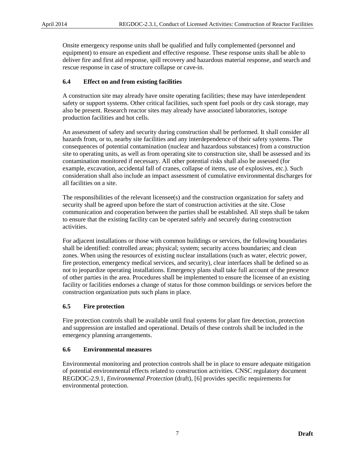Onsite emergency response units shall be qualified and fully complemented (personnel and equipment) to ensure an expedient and effective response. These response units shall be able to deliver fire and first aid response, spill recovery and hazardous material response, and search and rescue response in case of structure collapse or cave-in.

## <span id="page-12-0"></span>**6.4 Effect on and from existing facilities**

A construction site may already have onsite operating facilities; these may have interdependent safety or support systems. Other critical facilities, such spent fuel pools or dry cask storage, may also be present. Research reactor sites may already have associated laboratories, isotope production facilities and hot cells.

An assessment of safety and security during construction shall be performed. It shall consider all hazards from, or to, nearby site facilities and any interdependence of their safety systems. The consequences of potential contamination (nuclear and hazardous substances) from a construction site to operating units, as well as from operating site to construction site, shall be assessed and its contamination monitored if necessary. All other potential risks shall also be assessed (for example, excavation, accidental fall of cranes, collapse of items, use of explosives, etc.). Such consideration shall also include an impact assessment of cumulative environmental discharges for all facilities on a site.

The responsibilities of the relevant licensee(s) and the construction organization for safety and security shall be agreed upon before the start of construction activities at the site. Close communication and cooperation between the parties shall be established. All steps shall be taken to ensure that the existing facility can be operated safely and securely during construction activities.

For adjacent installations or those with common buildings or services, the following boundaries shall be identified: controlled areas; physical; system; security access boundaries; and clean zones. When using the resources of existing nuclear installations (such as water, electric power, fire protection, emergency medical services, and security), clear interfaces shall be defined so as not to jeopardize operating installations. Emergency plans shall take full account of the presence of other parties in the area. Procedures shall be implemented to ensure the licensee of an existing facility or facilities endorses a change of status for those common buildings or services before the construction organization puts such plans in place.

## <span id="page-12-1"></span>**6.5 Fire protection**

Fire protection controls shall be available until final systems for plant fire detection, protection and suppression are installed and operational. Details of these controls shall be included in the emergency planning arrangements.

## <span id="page-12-2"></span>**6.6 Environmental measures**

Environmental monitoring and protection controls shall be in place to ensure adequate mitigation of potential environmental effects related to construction activities. CNSC regulatory document REGDOC-2.9.1, *Environmental Protection* (draft), [6] provides specific requirements for environmental protection.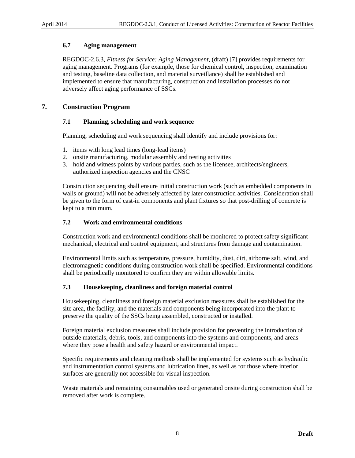## <span id="page-13-0"></span>**6.7 Aging management**

REGDOC-2.6.3, *Fitness for Service: Aging Management*, (draft) [7] provides requirements for aging management. Programs (for example, those for chemical control, inspection, examination and testing, baseline data collection, and material surveillance) shall be established and implemented to ensure that manufacturing, construction and installation processes do not adversely affect aging performance of SSCs.

## <span id="page-13-2"></span><span id="page-13-1"></span>**7. Construction Program**

## **7.1 Planning, scheduling and work sequence**

Planning, scheduling and work sequencing shall identify and include provisions for:

- 1. items with long lead times (long-lead items)
- 2. onsite manufacturing, modular assembly and testing activities
- 3. hold and witness points by various parties, such as the licensee, architects/engineers, authorized inspection agencies and the CNSC

Construction sequencing shall ensure initial construction work (such as embedded components in walls or ground) will not be adversely affected by later construction activities. Consideration shall be given to the form of cast-in components and plant fixtures so that post-drilling of concrete is kept to a minimum.

## <span id="page-13-3"></span>**7.2 Work and environmental conditions**

Construction work and environmental conditions shall be monitored to protect safety significant mechanical, electrical and control equipment, and structures from damage and contamination.

Environmental limits such as temperature, pressure, humidity, dust, dirt, airborne salt, wind, and electromagnetic conditions during construction work shall be specified. Environmental conditions shall be periodically monitored to confirm they are within allowable limits.

## <span id="page-13-4"></span>**7.3 Housekeeping, cleanliness and foreign material control**

Housekeeping, cleanliness and foreign material exclusion measures shall be established for the site area, the facility, and the materials and components being incorporated into the plant to preserve the quality of the SSCs being assembled, constructed or installed.

Foreign material exclusion measures shall include provision for preventing the introduction of outside materials, debris, tools, and components into the systems and components, and areas where they pose a health and safety hazard or environmental impact.

Specific requirements and cleaning methods shall be implemented for systems such as hydraulic and instrumentation control systems and lubrication lines, as well as for those where interior surfaces are generally not accessible for visual inspection.

Waste materials and remaining consumables used or generated onsite during construction shall be removed after work is complete.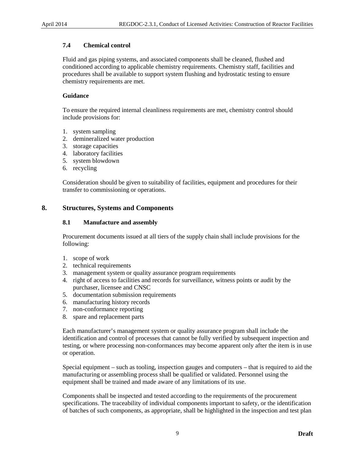## <span id="page-14-0"></span>**7.4 Chemical control**

Fluid and gas piping systems, and associated components shall be cleaned, flushed and conditioned according to applicable chemistry requirements. Chemistry staff, facilities and procedures shall be available to support system flushing and hydrostatic testing to ensure chemistry requirements are met.

## **Guidance**

To ensure the required internal cleanliness requirements are met, chemistry control should include provisions for:

- 1. system sampling
- 2. demineralized water production
- 3. storage capacities
- 4. laboratory facilities
- 5. system blowdown
- 6. recycling

Consideration should be given to suitability of facilities, equipment and procedures for their transfer to commissioning or operations.

## <span id="page-14-2"></span><span id="page-14-1"></span>**8. Structures, Systems and Components**

#### **8.1 Manufacture and assembly**

Procurement documents issued at all tiers of the supply chain shall include provisions for the following:

- 1. scope of work
- 2. technical requirements
- 3. management system or quality assurance program requirements
- 4. right of access to facilities and records for surveillance, witness points or audit by the purchaser, licensee and CNSC
- 5. documentation submission requirements
- 6. manufacturing history records
- 7. non-conformance reporting
- 8. spare and replacement parts

Each manufacturer's management system or quality assurance program shall include the identification and control of processes that cannot be fully verified by subsequent inspection and testing, or where processing non-conformances may become apparent only after the item is in use or operation.

Special equipment – such as tooling, inspection gauges and computers – that is required to aid the manufacturing or assembling process shall be qualified or validated. Personnel using the equipment shall be trained and made aware of any limitations of its use.

Components shall be inspected and tested according to the requirements of the procurement specifications. The traceability of individual components important to safety, or the identification of batches of such components, as appropriate, shall be highlighted in the inspection and test plan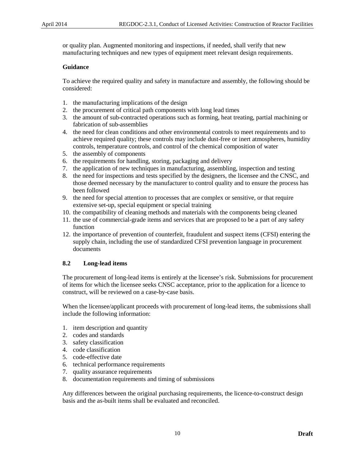or quality plan. Augmented monitoring and inspections, if needed, shall verify that new manufacturing techniques and new types of equipment meet relevant design requirements.

#### **Guidance**

To achieve the required quality and safety in manufacture and assembly, the following should be considered:

- 1. the manufacturing implications of the design
- 2. the procurement of critical path components with long lead times
- 3. the amount of sub-contracted operations such as forming, heat treating, partial machining or fabrication of sub-assemblies
- 4. the need for clean conditions and other environmental controls to meet requirements and to achieve required quality; these controls may include dust-free or inert atmospheres, humidity controls, temperature controls, and control of the chemical composition of water
- 5. the assembly of components
- 6. the requirements for handling, storing, packaging and delivery
- 7. the application of new techniques in manufacturing, assembling, inspection and testing
- 8. the need for inspections and tests specified by the designers, the licensee and the CNSC, and those deemed necessary by the manufacturer to control quality and to ensure the process has been followed
- 9. the need for special attention to processes that are complex or sensitive, or that require extensive set-up, special equipment or special training
- 10. the compatibility of cleaning methods and materials with the components being cleaned
- 11. the use of commercial-grade items and services that are proposed to be a part of any safety function
- 12. the importance of prevention of counterfeit, fraudulent and suspect items (CFSI) entering the supply chain, including the use of standardized CFSI prevention language in procurement documents

#### <span id="page-15-0"></span>**8.2 Long-lead items**

The procurement of long-lead items is entirely at the licensee's risk. Submissions for procurement of items for which the licensee seeks CNSC acceptance, prior to the application for a licence to construct, will be reviewed on a case-by-case basis.

When the licensee/applicant proceeds with procurement of long-lead items, the submissions shall include the following information:

- 1. item description and quantity
- 2. codes and standards
- 3. safety classification
- 4. code classification
- 5. code-effective date
- 6. technical performance requirements
- 7. quality assurance requirements
- 8. documentation requirements and timing of submissions

Any differences between the original purchasing requirements, the licence-to-construct design basis and the as-built items shall be evaluated and reconciled.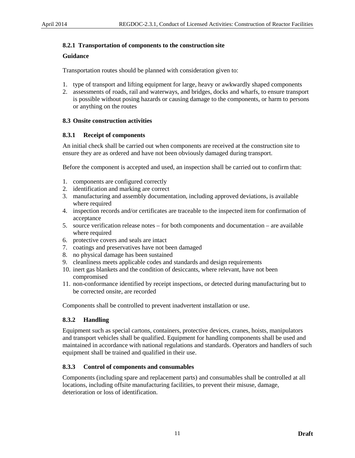## **8.2.1 Transportation of components to the construction site**

## **Guidance**

Transportation routes should be planned with consideration given to:

- 1. type of transport and lifting equipment for large, heavy or awkwardly shaped components
- 2. assessments of roads, rail and waterways, and bridges, docks and wharfs, to ensure transport is possible without posing hazards or causing damage to the components, or harm to persons or anything on the routes

## <span id="page-16-0"></span>**8.3 Onsite construction activities**

## **8.3.1 Receipt of components**

An initial check shall be carried out when components are received at the construction site to ensure they are as ordered and have not been obviously damaged during transport.

Before the component is accepted and used, an inspection shall be carried out to confirm that:

- 1. components are configured correctly
- 2. identification and marking are correct
- 3. manufacturing and assembly documentation, including approved deviations, is available where required
- 4. inspection records and/or certificates are traceable to the inspected item for confirmation of acceptance
- 5. source verification release notes for both components and documentation are available where required
- 6. protective covers and seals are intact
- 7. coatings and preservatives have not been damaged
- 8. no physical damage has been sustained
- 9. cleanliness meets applicable codes and standards and design requirements
- 10. inert gas blankets and the condition of desiccants, where relevant, have not been compromised
- 11. non-conformance identified by receipt inspections, or detected during manufacturing but to be corrected onsite, are recorded

Components shall be controlled to prevent inadvertent installation or use.

## **8.3.2 Handling**

Equipment such as special cartons, containers, protective devices, cranes, hoists, manipulators and transport vehicles shall be qualified. Equipment for handling components shall be used and maintained in accordance with national regulations and standards. Operators and handlers of such equipment shall be trained and qualified in their use.

## **8.3.3 Control of components and consumables**

Components (including spare and replacement parts) and consumables shall be controlled at all locations, including offsite manufacturing facilities, to prevent their misuse, damage, deterioration or loss of identification.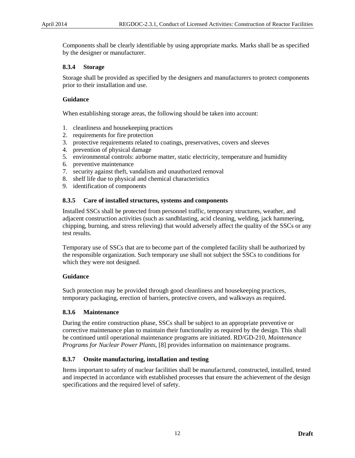Components shall be clearly identifiable by using appropriate marks. Marks shall be as specified by the designer or manufacturer.

## **8.3.4 Storage**

Storage shall be provided as specified by the designers and manufacturers to protect components prior to their installation and use.

## **Guidance**

When establishing storage areas, the following should be taken into account:

- 1. cleanliness and housekeeping practices
- 2. requirements for fire protection
- 3. protective requirements related to coatings, preservatives, covers and sleeves
- 4. prevention of physical damage
- 5. environmental controls: airborne matter, static electricity, temperature and humidity
- 6. preventive maintenance
- 7. security against theft, vandalism and unauthorized removal
- 8. shelf life due to physical and chemical characteristics
- 9. identification of components

## **8.3.5 Care of installed structures, systems and components**

Installed SSCs shall be protected from personnel traffic, temporary structures, weather, and adjacent construction activities (such as sandblasting, acid cleaning, welding, jack hammering, chipping, burning, and stress relieving) that would adversely affect the quality of the SSCs or any test results.

Temporary use of SSCs that are to become part of the completed facility shall be authorized by the responsible organization. Such temporary use shall not subject the SSCs to conditions for which they were not designed.

## **Guidance**

Such protection may be provided through good cleanliness and housekeeping practices, temporary packaging, erection of barriers, protective covers, and walkways as required.

#### **8.3.6 Maintenance**

During the entire construction phase, SSCs shall be subject to an appropriate preventive or corrective maintenance plan to maintain their functionality as required by the design. This shall be continued until operational maintenance programs are initiated. RD/GD-210, *Maintenance Programs for Nuclear Power Plants*, [8] provides information on maintenance programs.

## **8.3.7 Onsite manufacturing, installation and testing**

Items important to safety of nuclear facilities shall be manufactured, constructed, installed, tested and inspected in accordance with established processes that ensure the achievement of the design specifications and the required level of safety.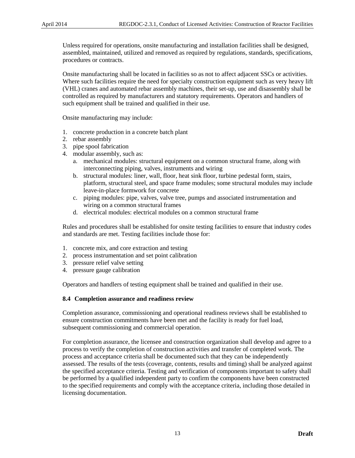Unless required for operations, onsite manufacturing and installation facilities shall be designed, assembled, maintained, utilized and removed as required by regulations, standards, specifications, procedures or contracts.

Onsite manufacturing shall be located in facilities so as not to affect adjacent SSCs or activities. Where such facilities require the need for specialty construction equipment such as very heavy lift (VHL) cranes and automated rebar assembly machines, their set-up, use and disassembly shall be controlled as required by manufacturers and statutory requirements. Operators and handlers of such equipment shall be trained and qualified in their use.

Onsite manufacturing may include:

- 1. concrete production in a concrete batch plant
- 2. rebar assembly
- 3. pipe spool fabrication
- 4. modular assembly, such as:
	- a. mechanical modules: structural equipment on a common structural frame, along with interconnecting piping, valves, instruments and wiring
	- b. structural modules: liner, wall, floor, heat sink floor, turbine pedestal form, stairs, platform, structural steel, and space frame modules; some structural modules may include leave-in-place formwork for concrete
	- c. piping modules: pipe, valves, valve tree, pumps and associated instrumentation and wiring on a common structural frames
	- d. electrical modules: electrical modules on a common structural frame

Rules and procedures shall be established for onsite testing facilities to ensure that industry codes and standards are met. Testing facilities include those for:

- 1. concrete mix, and core extraction and testing
- 2. process instrumentation and set point calibration
- 3. pressure relief valve setting
- 4. pressure gauge calibration

Operators and handlers of testing equipment shall be trained and qualified in their use.

#### <span id="page-18-0"></span>**8.4 Completion assurance and readiness review**

Completion assurance, commissioning and operational readiness reviews shall be established to ensure construction commitments have been met and the facility is ready for fuel load, subsequent commissioning and commercial operation.

For completion assurance, the licensee and construction organization shall develop and agree to a process to verify the completion of construction activities and transfer of completed work. The process and acceptance criteria shall be documented such that they can be independently assessed. The results of the tests (coverage, contents, results and timing) shall be analyzed against the specified acceptance criteria. Testing and verification of components important to safety shall be performed by a qualified independent party to confirm the components have been constructed to the specified requirements and comply with the acceptance criteria, including those detailed in licensing documentation.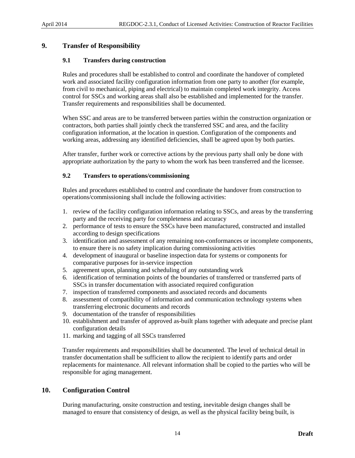## <span id="page-19-1"></span><span id="page-19-0"></span>**9. Transfer of Responsibility**

## **9.1 Transfers during construction**

Rules and procedures shall be established to control and coordinate the handover of completed work and associated facility configuration information from one party to another (for example, from civil to mechanical, piping and electrical) to maintain completed work integrity. Access control for SSCs and working areas shall also be established and implemented for the transfer. Transfer requirements and responsibilities shall be documented.

When SSC and areas are to be transferred between parties within the construction organization or contractors, both parties shall jointly check the transferred SSC and area, and the facility configuration information, at the location in question. Configuration of the components and working areas, addressing any identified deficiencies, shall be agreed upon by both parties.

After transfer, further work or corrective actions by the previous party shall only be done with appropriate authorization by the party to whom the work has been transferred and the licensee.

## <span id="page-19-2"></span>**9.2 Transfers to operations/commissioning**

Rules and procedures established to control and coordinate the handover from construction to operations/commissioning shall include the following activities:

- 1. review of the facility configuration information relating to SSCs, and areas by the transferring party and the receiving party for completeness and accuracy
- 2. performance of tests to ensure the SSCs have been manufactured, constructed and installed according to design specifications
- 3. identification and assessment of any remaining non-conformances or incomplete components, to ensure there is no safety implication during commissioning activities
- 4. development of inaugural or baseline inspection data for systems or components for comparative purposes for in-service inspection
- 5. agreement upon, planning and scheduling of any outstanding work
- 6. identification of termination points of the boundaries of transferred or transferred parts of SSCs in transfer documentation with associated required configuration
- 7. inspection of transferred components and associated records and documents
- 8. assessment of compatibility of information and communication technology systems when transferring electronic documents and records
- 9. documentation of the transfer of responsibilities
- 10. establishment and transfer of approved as-built plans together with adequate and precise plant configuration details
- 11. marking and tagging of all SSCs transferred

Transfer requirements and responsibilities shall be documented. The level of technical detail in transfer documentation shall be sufficient to allow the recipient to identify parts and order replacements for maintenance. All relevant information shall be copied to the parties who will be responsible for aging management.

# <span id="page-19-3"></span>**10. Configuration Control**

During manufacturing, onsite construction and testing, inevitable design changes shall be managed to ensure that consistency of design, as well as the physical facility being built, is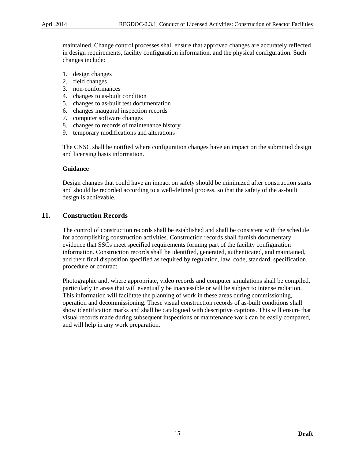maintained. Change control processes shall ensure that approved changes are accurately reflected in design requirements, facility configuration information, and the physical configuration. Such changes include:

- 1. design changes
- 2. field changes
- 3. non-conformances
- 4. changes to as-built condition
- 5. changes to as-built test documentation
- 6. changes inaugural inspection records
- 7. computer software changes
- 8. changes to records of maintenance history
- 9. temporary modifications and alterations

The CNSC shall be notified where configuration changes have an impact on the submitted design and licensing basis information.

#### **Guidance**

Design changes that could have an impact on safety should be minimized after construction starts and should be recorded according to a well-defined process, so that the safety of the as-built design is achievable.

## <span id="page-20-0"></span>**11. Construction Records**

The control of construction records shall be established and shall be consistent with the schedule for accomplishing construction activities. Construction records shall furnish documentary evidence that SSCs meet specified requirements forming part of the facility configuration information. Construction records shall be identified, generated, authenticated, and maintained, and their final disposition specified as required by regulation, law, code, standard, specification, procedure or contract.

Photographic and, where appropriate, video records and computer simulations shall be compiled, particularly in areas that will eventually be inaccessible or will be subject to intense radiation. This information will facilitate the planning of work in these areas during commissioning, operation and decommissioning. These visual construction records of as-built conditions shall show identification marks and shall be catalogued with descriptive captions. This will ensure that visual records made during subsequent inspections or maintenance work can be easily compared, and will help in any work preparation.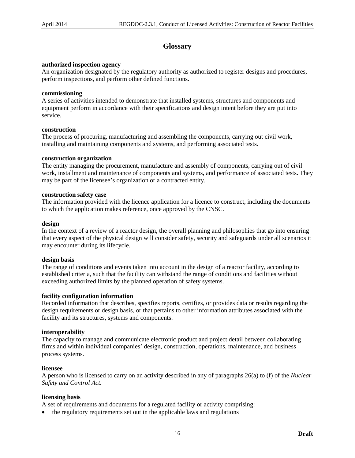## **Glossary**

#### <span id="page-21-0"></span>**authorized inspection agency**

An organization designated by the regulatory authority as authorized to register designs and procedures, perform inspections, and perform other defined functions.

#### **commissioning**

A series of activities intended to demonstrate that installed systems, structures and components and equipment perform in accordance with their specifications and design intent before they are put into service.

#### **construction**

The process of procuring, manufacturing and assembling the components, carrying out civil work, installing and maintaining components and systems, and performing associated tests.

#### **construction organization**

The entity managing the procurement, manufacture and assembly of components, carrying out of civil work, installment and maintenance of components and systems, and performance of associated tests. They may be part of the licensee's organization or a contracted entity.

#### **construction safety case**

The information provided with the licence application for a licence to construct, including the documents to which the application makes reference, once approved by the CNSC.

#### **design**

In the context of a review of a reactor design, the overall planning and philosophies that go into ensuring that every aspect of the physical design will consider safety, security and safeguards under all scenarios it may encounter during its lifecycle.

#### **design basis**

The range of conditions and events taken into account in the design of a reactor facility, according to established criteria, such that the facility can withstand the range of conditions and facilities without exceeding authorized limits by the planned operation of safety systems.

#### **facility configuration information**

Recorded information that describes, specifies reports, certifies, or provides data or results regarding the design requirements or design basis, or that pertains to other information attributes associated with the facility and its structures, systems and components.

#### **interoperability**

The capacity to manage and communicate electronic product and project detail between collaborating firms and within individual companies' design, construction, operations, maintenance, and business process systems.

#### **licensee**

A person who is licensed to carry on an activity described in any of paragraphs 26(a) to (f) of the *Nuclear Safety and Control Act.*

#### **licensing basis**

A set of requirements and documents for a regulated facility or activity comprising:

• the regulatory requirements set out in the applicable laws and regulations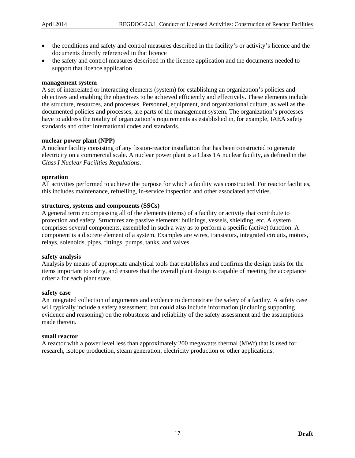- the conditions and safety and control measures described in the facility's or activity's licence and the documents directly referenced in that licence
- the safety and control measures described in the licence application and the documents needed to support that licence application

#### **management system**

A set of interrelated or interacting elements (system) for establishing an organization's policies and objectives and enabling the objectives to be achieved efficiently and effectively. These elements include the structure, resources, and processes. Personnel, equipment, and organizational culture, as well as the documented policies and processes, are parts of the management system. The organization's processes have to address the totality of organization's requirements as established in, for example, IAEA safety standards and other international codes and standards.

#### **nuclear power plant (NPP)**

A nuclear facility consisting of any fission-reactor installation that has been constructed to generate electricity on a commercial scale. A nuclear power plant is a Class 1A nuclear facility, as defined in the *Class I Nuclear Facilities Regulations*.

#### **operation**

All activities performed to achieve the purpose for which a facility was constructed. For reactor facilities, this includes maintenance, refuelling, in-service inspection and other associated activities.

#### **structures, systems and components (SSCs)**

A general term encompassing all of the elements (items) of a facility or activity that contribute to protection and safety. Structures are passive elements: buildings, vessels, shielding, etc. A system comprises several components, assembled in such a way as to perform a specific (active) function. A component is a discrete element of a system. Examples are wires, transistors, integrated circuits, motors, relays, solenoids, pipes, fittings, pumps, tanks, and valves.

#### **safety analysis**

Analysis by means of appropriate analytical tools that establishes and confirms the design basis for the items important to safety, and ensures that the overall plant design is capable of meeting the acceptance criteria for each plant state.

#### **safety case**

An integrated collection of arguments and evidence to demonstrate the safety of a facility. A safety case will typically include a safety assessment, but could also include information (including supporting evidence and reasoning) on the robustness and reliability of the safety assessment and the assumptions made therein.

#### **small reactor**

A reactor with a power level less than approximately 200 megawatts thermal (MWt) that is used for research, isotope production, steam generation, electricity production or other applications.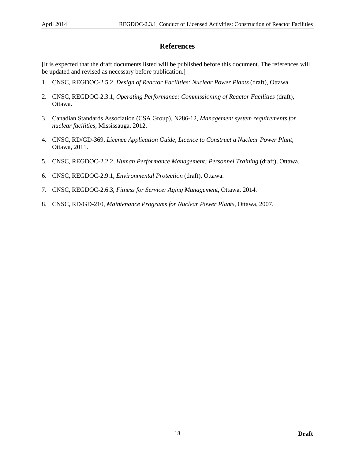## **References**

<span id="page-23-0"></span>[It is expected that the draft documents listed will be published before this document. The references will be updated and revised as necessary before publication.]

- 1. CNSC, REGDOC-2.5.2, *Design of Reactor Facilities: Nuclear Power Plants* (draft), Ottawa.
- 2. CNSC, REGDOC-2.3.1, *Operating Performance: Commissioning of Reactor Facilities* (draft), Ottawa.
- 3. Canadian Standards Association (CSA Group), N286-12, *Management system requirements for nuclear facilities*, Mississauga, 2012.
- 4. CNSC, RD/GD-369, *Licence Application Guide, Licence to Construct a Nuclear Power Plant,* Ottawa, 2011.
- 5. CNSC, REGDOC-2.2.2, *Human Performance Management: Personnel Training* (draft), Ottawa.
- 6. CNSC, REGDOC-2.9.1, *Environmental Protection* (draft), Ottawa.
- 7. CNSC, REGDOC-2.6.3, *Fitness for Service: Aging Management*, Ottawa, 2014.
- 8. CNSC, RD/GD-210, *Maintenance Programs for Nuclear Power Plants*, Ottawa, 2007.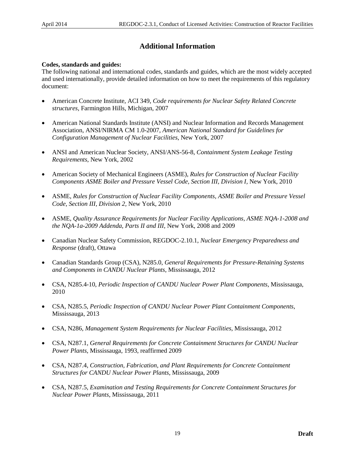# **Additional Information**

## <span id="page-24-0"></span>**Codes, standards and guides:**

The following national and international codes, standards and guides, which are the most widely accepted and used internationally, provide detailed information on how to meet the requirements of this regulatory document:

- American Concrete Institute, ACI 349, *Code requirements for Nuclear Safety Related Concrete structures*, Farmington Hills, Michigan, 2007
- American National Standards Institute (ANSI) and Nuclear Information and Records Management Association, ANSI/NIRMA CM 1.0-2007, *American National Standard for Guidelines for Configuration Management of Nuclear Facilities*, New York, 2007
- ANSI and American Nuclear Society, ANSI/ANS-56-8, *Containment System Leakage Testing Requirements*, New York, 2002
- American Society of Mechanical Engineers (ASME), *Rules for Construction of Nuclear Facility Components ASME Boiler and Pressure Vessel Code, Section III, Division I,* New York, 2010
- ASME, *Rules for Construction of Nuclear Facility Components, ASME Boiler and Pressure Vessel Code, Section III, Division 2,* New York, 2010
- ASME, *Quality Assurance Requirements for Nuclear Facility Applications, ASME NQA-1-2008 and the NQA-1a-2009 Addenda, Parts II and III*, New York, 2008 and 2009
- Canadian Nuclear Safety Commission, REGDOC-2.10.1, *Nuclear Emergency Preparedness and Response* (draft), Ottawa
- Canadian Standards Group (CSA), N285.0, *General Requirements for Pressure-Retaining Systems and Components in CANDU Nuclear Plants*, Mississauga, 2012
- CSA, N285.4-10, *Periodic Inspection of CANDU Nuclear Power Plant Components*, Mississauga, 2010
- CSA, N285.5, *Periodic Inspection of CANDU Nuclear Power Plant Containment Components*, Mississauga, 2013
- CSA, N286, *Management System Requirements for Nuclear Facilities*, Mississauga, 2012
- CSA, N287.1, *General Requirements for Concrete Containment Structures for CANDU Nuclear Power Plants*, Mississauga, 1993, reaffirmed 2009
- CSA, N287.4, *Construction, Fabrication, and Plant Requirements for Concrete Containment Structures for CANDU Nuclear Power Plants*, Mississauga, 2009
- CSA, N287.5, *Examination and Testing Requirements for Concrete Containment Structures for Nuclear Power Plants*, Mississauga, 2011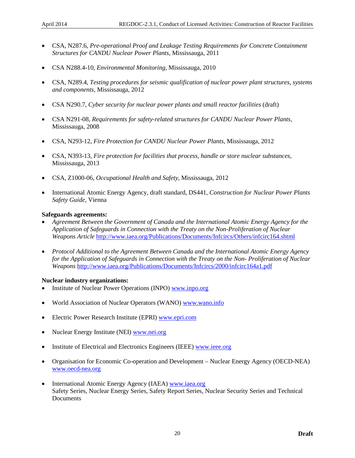- CSA, N287.6, *Pre-operational Proof and Leakage Testing Requirements for Concrete Containment Structures for CANDU Nuclear Power Plants*, Mississauga, 2011
- CSA N288.4-10, *Environmental Monitoring*, Mississauga, 2010
- CSA, N289.4, *Testing procedures for seismic qualification of nuclear power plant structures, systems and components,* Mississauga, 2012
- CSA N290.7, *Cyber security for nuclear power plants and small reactor facilities* (draft)
- CSA N291-08, *Requirements for safety-related structures for CANDU Nuclear Power Plants,* Mississauga, 2008
- CSA, N293-12, *Fire Protection for CANDU Nuclear Power Plants*, Mississauga, 2012
- CSA, N393-13, *Fire protection for facilities that process, handle or store nuclear substances*, Mississauga, 2013
- CSA, Z1000-06, *Occupational Health and Safety*, Mississauga, 2012
- International Atomic Energy Agency, draft standard, DS441, *Construction for Nuclear Power Plants Safety Guide*, Vienna

#### **Safeguards agreements:**

- *Agreement Between the Government of Canada and the International Atomic Energy Agency for the Application of Safeguards in Connection with the Treaty on the Non-Proliferation of Nuclear Weapons Article* <http://www.iaea.org/Publications/Documents/Infcircs/Others/infcirc164.shtml>
- *Protocol Additional to the Agreement Between Canada and the International Atomic Energy Agency for the Application of Safeguards in Connection with the Treaty on the Non- Proliferation of Nuclear Weapons* <http://www.iaea.org/Publications/Documents/Infcircs/2000/infcirc164a1.pdf>

#### **Nuclear industry organizations:**

- Institute of Nuclear Power Operations (INPO) [www.inpo.org](http://www.inpo.org/)
- World Association of Nuclear Operators (WANO) [www.wano.info](http://www.wano.info/)
- Electric Power Research Institute (EPRI) [www.epri.com](http://www.epri.com/)
- Nuclear Energy Institute (NEI) [www.nei.org](http://www.nei.org/)
- Institute of Electrical and Electronics Engineers (IEEE) [www.ieee.org](http://www.ieee.org/)
- Organisation for Economic Co-operation and Development Nuclear Energy Agency (OECD-NEA) [www.oecd-nea.org](http://www.oecd-nea.org/)
- International Atomic Energy Agency (IAEA) [www.iaea.org](http://www.iaea.org/) Safety Series, Nuclear Energy Series, Safety Report Series, Nuclear Security Series and Technical **Documents**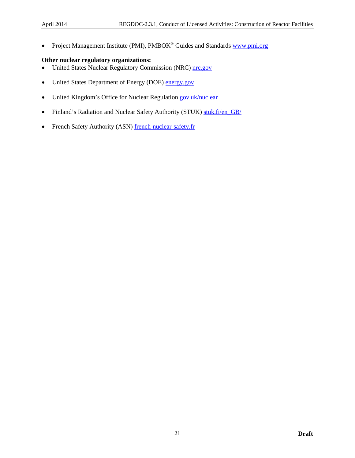• Project Management Institute (PMI), PMBOK® Guides and Standards [www.pmi.org](http://www.pmi.org/)

#### **Other nuclear regulatory organizations:**

- United States Nuclear Regulatory Commission (NRC) **nrc.gov**
- United States Department of Energy (DOE) [energy.gov](http://www.energy.gov/)
- United Kingdom's Office for Nuclear Regulation [gov.uk/nuclear](http://www.hse.gov.uk/nuclear)
- Finland's Radiation and Nuclear Safety Authority (STUK) [stuk.fi/en\\_GB/](http://www.stuk.fi/en_GB/)
- French Safety Authority (ASN) [french-nuclear-safety.fr](http://www.french-nuclear-safety.fr/)